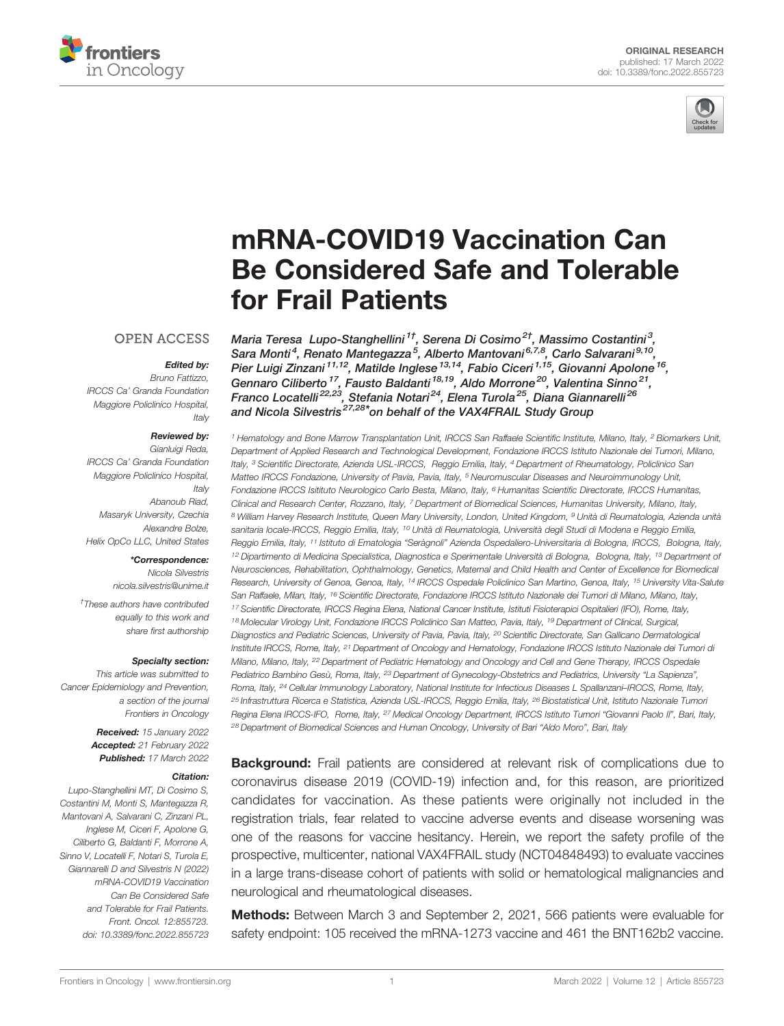



# [mRNA-COVID19 Vaccination Can](https://www.frontiersin.org/articles/10.3389/fonc.2022.855723/full) [Be Considered Safe and Tolerable](https://www.frontiersin.org/articles/10.3389/fonc.2022.855723/full) [for Frail Patients](https://www.frontiersin.org/articles/10.3389/fonc.2022.855723/full)

#### **OPEN ACCESS**

#### Edited by:

Bruno Fattizzo, IRCCS Ca' Granda Foundation Maggiore Policlinico Hospital, Italy

#### Reviewed by:

Gianluigi Reda, IRCCS Ca' Granda Foundation Maggiore Policlinico Hospital, Italy Abanoub Riad, Masaryk University, Czechia Alexandre Bolze, Helix OpCo LLC, United States

#### \*Correspondence:

Nicola Silvestris [nicola.silvestris@unime.it](mailto:nicola.silvestris@unime.it)

† These authors have contributed equally to this work and share first authorship

#### Specialty section:

This article was submitted to Cancer Epidemiology and Prevention, a section of the journal Frontiers in Oncology

> Received: 15 January 2022 Accepted: 21 February 2022 Published: 17 March 2022

#### Citation:

Lupo-Stanghellini MT, Di Cosimo S, Costantini M, Monti S, Mantegazza R, Mantovani A, Salvarani C, Zinzani PL, Inglese M, Ciceri F, Apolone G, Ciliberto G, Baldanti F, Morrone A, Sinno V, Locatelli F, Notari S, Turola E, Giannarelli D and Silvestris N (2022) mRNA-COVID19 Vaccination Can Be Considered Safe and Tolerable for Frail Patients. Front. Oncol. 12:855723. [doi: 10.3389/fonc.2022.855723](https://doi.org/10.3389/fonc.2022.855723)

Maria Teresa Lupo-Stanghellini<sup>1†</sup>, Serena Di Cosimo<sup>2†</sup>, Massimo Costantini<sup>3</sup>, Sara Monti<sup>4</sup>, Renato Mantegazza<sup>5</sup>, Alberto Mantovani<sup>6,7,8</sup>, Carlo Salvarani<sup>9,10</sup>, Pier Luigi Zinzani <sup>11,12</sup>, Matilde Inglese <sup>13,14</sup>, Fabio Ciceri <sup>1,15</sup>, Giovanni Apolone <sup>16</sup>, Gennaro Ciliberto<sup>17</sup>, Fausto Baldanti<sup>18,19</sup>, Aldo Morrone<sup>20</sup>, Valentina Sinno<sup>21</sup>, Franco Locatelli<sup>22,23</sup>, Stefania Notari<sup>24</sup>, Elena Turola<sup>25</sup>, Diana Giannarelli<sup>26</sup> and Nicola Silvestris 27,28\*on behalf of the VAX4FRAIL Study Group

<sup>1</sup> Hematology and Bone Marrow Transplantation Unit, IRCCS San Raffaele Scientific Institute, Milano, Italy, <sup>2</sup> Biomarkers Unit, Department of Applied Research and Technological Development, Fondazione IRCCS Istituto Nazionale dei Tumori, Milano, Italy, <sup>3</sup> Scientific Directorate, Azienda USL-IRCCS, Reggio Emilia, Italy, <sup>4</sup> Department of Rheumatology, Policlinico San Matteo IRCCS Fondazione, University of Pavia, Pavia, Italy, <sup>5</sup> Neuromuscular Diseases and Neuroimmunology Unit, Fondazione IRCCS Isitituto Neurologico Carlo Besta, Milano, Italy, <sup>6</sup> Humanitas Scientific Directorate, IRCCS Humanitas, Clinical and Research Center, Rozzano, Italy, <sup>7</sup> Department of Biomedical Sciences, Humanitas University, Milano, Italy, <sup>8</sup> William Harvey Research Institute, Queen Mary University, London, United Kingdom, <sup>9</sup> Unità di Reumatologia, Azienda unità sanitaria locale-IRCCS, Reggio Emilia, Italy, <sup>10</sup> Unità di Reumatologia, Università degli Studi di Modena e Reggio Emilia, Reggio Emilia, Italy, <sup>11</sup> Istituto di Ematologia "Seràgnoli" Azienda Ospedaliero-Universitaria di Bologna, IRCCS, Bologna, Italy, <sup>12</sup> Dipartimento di Medicina Specialistica, Diagnostica e Sperimentale Università di Bologna, Bologna, Italy, <sup>13</sup> Department of Neurosciences, Rehabilitation, Ophthalmology, Genetics, Maternal and Child Health and Center of Excellence for Biomedical Research, University of Genoa, Genoa, Italy, <sup>14</sup> IRCCS Ospedale Policlinico San Martino, Genoa, Italy, <sup>15</sup> University Vita-Salute San Raffaele, Milan, Italy, <sup>16</sup> Scientific Directorate, Fondazione IRCCS Istituto Nazionale dei Tumori di Milano, Milano, Italy, <sup>17</sup> Scientific Directorate, IRCCS Regina Elena, National Cancer Institute, Istituti Fisioterapici Ospitalieri (IFO), Rome, Italy, 18 Molecular Virology Unit, Fondazione IRCCS Policlinico San Matteo, Pavia, Italy, <sup>19</sup> Department of Clinical, Surgical, Diagnostics and Pediatric Sciences, University of Pavia, Pavia, Italy, <sup>20</sup> Scientific Directorate, San Gallicano Dermatological Institute IRCCS, Rome, Italy, <sup>21</sup> Department of Oncology and Hematology, Fondazione IRCCS Istituto Nazionale dei Tumori di Milano, Milano, Italy, <sup>22</sup> Department of Pediatric Hematology and Oncology and Cell and Gene Therapy, IRCCS Ospedale Pediatrico Bambino Gesù, Roma, Italy, <sup>23</sup> Department of Gynecology-Obstetrics and Pediatrics, University "La Sapienza", Roma, Italy, <sup>24</sup> Cellular Immunology Laboratory, National Institute for Infectious Diseases L Spallanzani–IRCCS, Rome, Italy, <sup>25</sup> Infrastruttura Ricerca e Statistica, Azienda USL-IRCCS, Reggio Emilia, Italy, <sup>26</sup> Biostatistical Unit, Istituto Nazionale Tumori Regina Elena IRCCS-IFO, Rome, Italy, <sup>27</sup> Medical Oncology Department, IRCCS Istituto Tumori "Giovanni Paolo II", Bari, Italy, <sup>28</sup> Department of Biomedical Sciences and Human Oncology, University of Bari "Aldo Moro", Bari, Italy

**Background:** Frail patients are considered at relevant risk of complications due to coronavirus disease 2019 (COVID-19) infection and, for this reason, are prioritized candidates for vaccination. As these patients were originally not included in the registration trials, fear related to vaccine adverse events and disease worsening was one of the reasons for vaccine hesitancy. Herein, we report the safety profile of the prospective, multicenter, national VAX4FRAIL study (NCT04848493) to evaluate vaccines in a large trans-disease cohort of patients with solid or hematological malignancies and neurological and rheumatological diseases.

Methods: Between March 3 and September 2, 2021, 566 patients were evaluable for safety endpoint: 105 received the mRNA-1273 vaccine and 461 the BNT162b2 vaccine.

[Frontiers in Oncology](https://www.frontiersin.org/journals/oncology) | [www.frontiersin.org](http://www.frontiersin.org/) 1 [March 2022 | Volume 12 | Article 855723](https://www.frontiersin.org/journals/oncology#articles)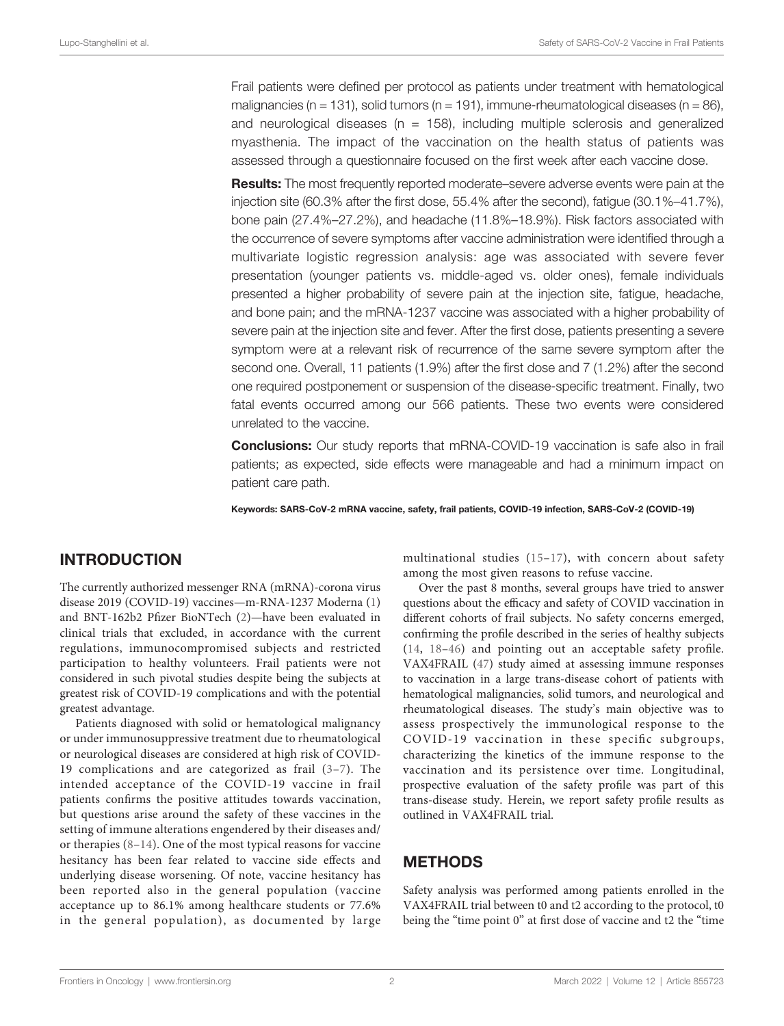Frail patients were defined per protocol as patients under treatment with hematological malignancies (n = 131), solid tumors (n = 191), immune-rheumatological diseases (n = 86), and neurological diseases ( $n = 158$ ), including multiple sclerosis and generalized myasthenia. The impact of the vaccination on the health status of patients was assessed through a questionnaire focused on the first week after each vaccine dose.

**Results:** The most frequently reported moderate–severe adverse events were pain at the injection site (60.3% after the first dose, 55.4% after the second), fatigue (30.1%–41.7%), bone pain (27.4%–27.2%), and headache (11.8%–18.9%). Risk factors associated with the occurrence of severe symptoms after vaccine administration were identified through a multivariate logistic regression analysis: age was associated with severe fever presentation (younger patients vs. middle-aged vs. older ones), female individuals presented a higher probability of severe pain at the injection site, fatigue, headache, and bone pain; and the mRNA-1237 vaccine was associated with a higher probability of severe pain at the injection site and fever. After the first dose, patients presenting a severe symptom were at a relevant risk of recurrence of the same severe symptom after the second one. Overall, 11 patients (1.9%) after the first dose and 7 (1.2%) after the second one required postponement or suspension of the disease-specific treatment. Finally, two fatal events occurred among our 566 patients. These two events were considered unrelated to the vaccine.

Conclusions: Our study reports that mRNA-COVID-19 vaccination is safe also in frail patients; as expected, side effects were manageable and had a minimum impact on patient care path.

Keywords: SARS-CoV-2 mRNA vaccine, safety, frail patients, COVID-19 infection, SARS-CoV-2 (COVID-19)

### INTRODUCTION

The currently authorized messenger RNA (mRNA)-corona virus disease 2019 (COVID-19) vaccines—m-RNA-1237 Moderna [\(1\)](#page-10-0) and BNT-162b2 Pfizer BioNTech ([2](#page-10-0))—have been evaluated in clinical trials that excluded, in accordance with the current regulations, immunocompromised subjects and restricted participation to healthy volunteers. Frail patients were not considered in such pivotal studies despite being the subjects at greatest risk of COVID-19 complications and with the potential greatest advantage.

Patients diagnosed with solid or hematological malignancy or under immunosuppressive treatment due to rheumatological or neurological diseases are considered at high risk of COVID-19 complications and are categorized as frail ([3](#page-10-0)–[7\)](#page-10-0). The intended acceptance of the COVID-19 vaccine in frail patients confirms the positive attitudes towards vaccination, but questions arise around the safety of these vaccines in the setting of immune alterations engendered by their diseases and/ or therapies ([8](#page-10-0)–[14\)](#page-10-0). One of the most typical reasons for vaccine hesitancy has been fear related to vaccine side effects and underlying disease worsening. Of note, vaccine hesitancy has been reported also in the general population (vaccine acceptance up to 86.1% among healthcare students or 77.6% in the general population), as documented by large multinational studies ([15](#page-10-0)–[17\)](#page-10-0), with concern about safety among the most given reasons to refuse vaccine.

Over the past 8 months, several groups have tried to answer questions about the efficacy and safety of COVID vaccination in different cohorts of frail subjects. No safety concerns emerged, confirming the profile described in the series of healthy subjects ([14](#page-10-0), [18](#page-10-0)–[46](#page-11-0)) and pointing out an acceptable safety profile. VAX4FRAIL [\(47\)](#page-11-0) study aimed at assessing immune responses to vaccination in a large trans-disease cohort of patients with hematological malignancies, solid tumors, and neurological and rheumatological diseases. The study's main objective was to assess prospectively the immunological response to the COVID-19 vaccination in these specific subgroups, characterizing the kinetics of the immune response to the vaccination and its persistence over time. Longitudinal, prospective evaluation of the safety profile was part of this trans-disease study. Herein, we report safety profile results as outlined in VAX4FRAIL trial.

#### METHODS

Safety analysis was performed among patients enrolled in the VAX4FRAIL trial between t0 and t2 according to the protocol, t0 being the "time point 0" at first dose of vaccine and t2 the "time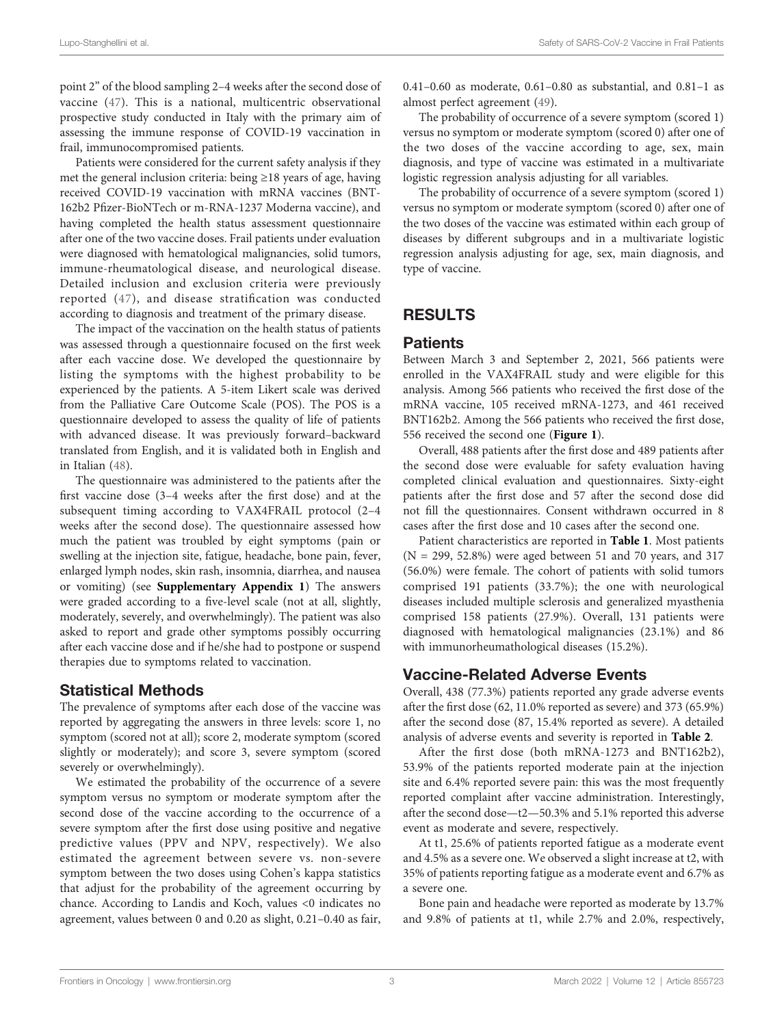point 2" of the blood sampling 2–4 weeks after the second dose of vaccine ([47\)](#page-11-0). This is a national, multicentric observational prospective study conducted in Italy with the primary aim of assessing the immune response of COVID-19 vaccination in frail, immunocompromised patients.

Patients were considered for the current safety analysis if they met the general inclusion criteria: being ≥18 years of age, having received COVID-19 vaccination with mRNA vaccines (BNT-162b2 Pfizer-BioNTech or m-RNA-1237 Moderna vaccine), and having completed the health status assessment questionnaire after one of the two vaccine doses. Frail patients under evaluation were diagnosed with hematological malignancies, solid tumors, immune-rheumatological disease, and neurological disease. Detailed inclusion and exclusion criteria were previously reported ([47](#page-11-0)), and disease stratification was conducted according to diagnosis and treatment of the primary disease.

The impact of the vaccination on the health status of patients was assessed through a questionnaire focused on the first week after each vaccine dose. We developed the questionnaire by listing the symptoms with the highest probability to be experienced by the patients. A 5-item Likert scale was derived from the Palliative Care Outcome Scale (POS). The POS is a questionnaire developed to assess the quality of life of patients with advanced disease. It was previously forward–backward translated from English, and it is validated both in English and in Italian [\(48](#page-11-0)).

The questionnaire was administered to the patients after the first vaccine dose (3–4 weeks after the first dose) and at the subsequent timing according to VAX4FRAIL protocol (2–4 weeks after the second dose). The questionnaire assessed how much the patient was troubled by eight symptoms (pain or swelling at the injection site, fatigue, headache, bone pain, fever, enlarged lymph nodes, skin rash, insomnia, diarrhea, and nausea or vomiting) (see [Supplementary Appendix 1](#page-10-0)) The answers were graded according to a five-level scale (not at all, slightly, moderately, severely, and overwhelmingly). The patient was also asked to report and grade other symptoms possibly occurring after each vaccine dose and if he/she had to postpone or suspend therapies due to symptoms related to vaccination.

#### Statistical Methods

The prevalence of symptoms after each dose of the vaccine was reported by aggregating the answers in three levels: score 1, no symptom (scored not at all); score 2, moderate symptom (scored slightly or moderately); and score 3, severe symptom (scored severely or overwhelmingly).

We estimated the probability of the occurrence of a severe symptom versus no symptom or moderate symptom after the second dose of the vaccine according to the occurrence of a severe symptom after the first dose using positive and negative predictive values (PPV and NPV, respectively). We also estimated the agreement between severe vs. non-severe symptom between the two doses using Cohen's kappa statistics that adjust for the probability of the agreement occurring by chance. According to Landis and Koch, values <0 indicates no agreement, values between 0 and 0.20 as slight, 0.21–0.40 as fair,

0.41–0.60 as moderate, 0.61–0.80 as substantial, and 0.81–1 as almost perfect agreement ([49\)](#page-11-0).

The probability of occurrence of a severe symptom (scored 1) versus no symptom or moderate symptom (scored 0) after one of the two doses of the vaccine according to age, sex, main diagnosis, and type of vaccine was estimated in a multivariate logistic regression analysis adjusting for all variables.

The probability of occurrence of a severe symptom (scored 1) versus no symptom or moderate symptom (scored 0) after one of the two doses of the vaccine was estimated within each group of diseases by different subgroups and in a multivariate logistic regression analysis adjusting for age, sex, main diagnosis, and type of vaccine.

### RESULTS

#### **Patients**

Between March 3 and September 2, 2021, 566 patients were enrolled in the VAX4FRAIL study and were eligible for this analysis. Among 566 patients who received the first dose of the mRNA vaccine, 105 received mRNA-1273, and 461 received BNT162b2. Among the 566 patients who received the first dose, 556 received the second one ([Figure 1](#page-3-0)).

Overall, 488 patients after the first dose and 489 patients after the second dose were evaluable for safety evaluation having completed clinical evaluation and questionnaires. Sixty-eight patients after the first dose and 57 after the second dose did not fill the questionnaires. Consent withdrawn occurred in 8 cases after the first dose and 10 cases after the second one.

Patient characteristics are reported in [Table 1](#page-3-0). Most patients  $(N = 299, 52.8%)$  were aged between 51 and 70 years, and 317 (56.0%) were female. The cohort of patients with solid tumors comprised 191 patients (33.7%); the one with neurological diseases included multiple sclerosis and generalized myasthenia comprised 158 patients (27.9%). Overall, 131 patients were diagnosed with hematological malignancies (23.1%) and 86 with immunorheumathological diseases (15.2%).

# Vaccine-Related Adverse Events

Overall, 438 (77.3%) patients reported any grade adverse events after the first dose (62, 11.0% reported as severe) and 373 (65.9%) after the second dose (87, 15.4% reported as severe). A detailed analysis of adverse events and severity is reported in [Table 2](#page-4-0).

After the first dose (both mRNA-1273 and BNT162b2), 53.9% of the patients reported moderate pain at the injection site and 6.4% reported severe pain: this was the most frequently reported complaint after vaccine administration. Interestingly, after the second dose—t2—50.3% and 5.1% reported this adverse event as moderate and severe, respectively.

At t1, 25.6% of patients reported fatigue as a moderate event and 4.5% as a severe one. We observed a slight increase at t2, with 35% of patients reporting fatigue as a moderate event and 6.7% as a severe one.

Bone pain and headache were reported as moderate by 13.7% and 9.8% of patients at t1, while 2.7% and 2.0%, respectively,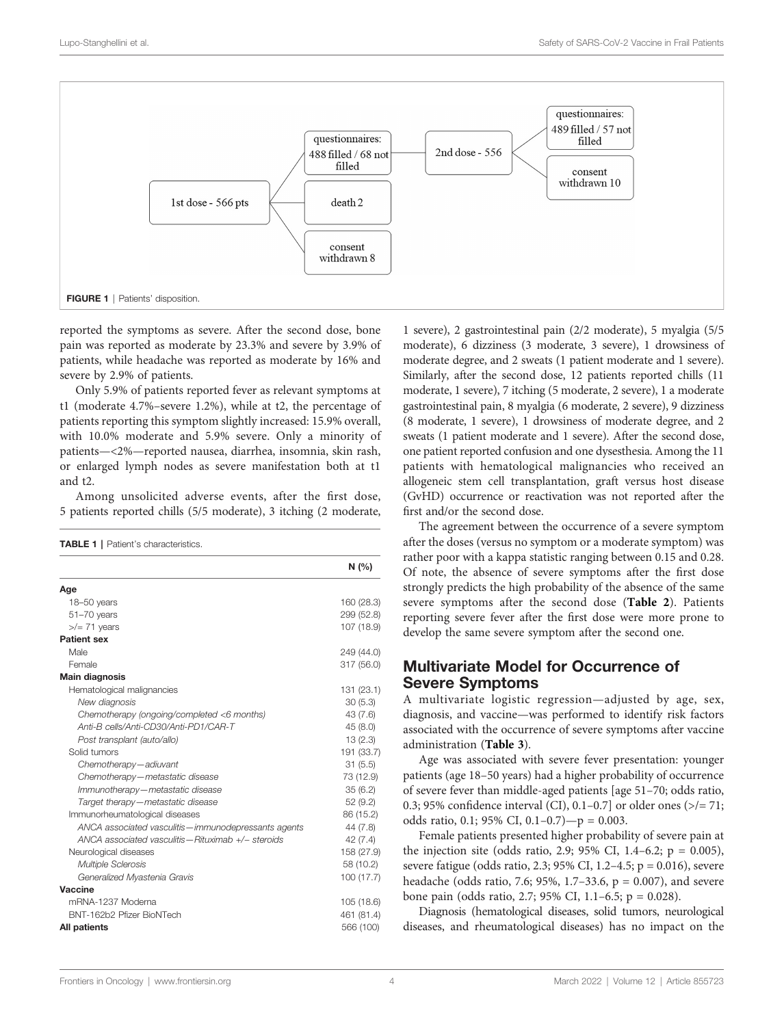<span id="page-3-0"></span>

reported the symptoms as severe. After the second dose, bone pain was reported as moderate by 23.3% and severe by 3.9% of patients, while headache was reported as moderate by 16% and severe by 2.9% of patients.

Only 5.9% of patients reported fever as relevant symptoms at t1 (moderate 4.7%–severe 1.2%), while at t2, the percentage of patients reporting this symptom slightly increased: 15.9% overall, with 10.0% moderate and 5.9% severe. Only a minority of patients—<2%—reported nausea, diarrhea, insomnia, skin rash, or enlarged lymph nodes as severe manifestation both at t1 and t2.

Among unsolicited adverse events, after the first dose, 5 patients reported chills (5/5 moderate), 3 itching (2 moderate,

TABLE 1 | Patient's characteristics.

|                                                       | N(%)       |
|-------------------------------------------------------|------------|
| Age                                                   |            |
| 18-50 years                                           | 160 (28.3) |
| $51 - 70$ years                                       | 299 (52.8) |
| $\frac{1}{2}$ 71 years                                | 107 (18.9) |
| <b>Patient sex</b>                                    |            |
| Male                                                  | 249 (44.0) |
| Female                                                | 317 (56.0) |
| <b>Main diagnosis</b>                                 |            |
| Hematological malignancies                            | 131 (23.1) |
| New diagnosis                                         | 30(5.3)    |
| Chemotherapy (ongoing/completed <6 months)            | 43 (7.6)   |
| Anti-B cells/Anti-CD30/Anti-PD1/CAR-T                 | 45 (8.0)   |
| Post transplant (auto/allo)                           | 13(2.3)    |
| Solid tumors                                          | 191 (33.7) |
| Chemotherapy-adiuvant                                 | 31(5.5)    |
| Chemotherapy-metastatic disease                       | 73 (12.9)  |
| Immunotherapy-metastatic disease                      | 35(6.2)    |
| Target therapy-metastatic disease                     | 52 (9.2)   |
| Immunorheumatological diseases                        | 86 (15.2)  |
| ANCA associated vasculitis - immunodepressants agents | 44 (7.8)   |
| ANCA associated vasculitis - Rituximab +/- steroids   | 42(7.4)    |
| Neurological diseases                                 | 158 (27.9) |
| <b>Multiple Sclerosis</b>                             | 58 (10.2)  |
| Generalized Myastenia Gravis                          | 100 (17.7) |
| Vaccine                                               |            |
| mRNA-1237 Moderna                                     | 105 (18.6) |
| BNT-162b2 Pfizer BioNTech                             | 461 (81.4) |
| All patients                                          | 566 (100)  |

1 severe), 2 gastrointestinal pain (2/2 moderate), 5 myalgia (5/5 moderate), 6 dizziness (3 moderate, 3 severe), 1 drowsiness of moderate degree, and 2 sweats (1 patient moderate and 1 severe). Similarly, after the second dose, 12 patients reported chills (11 moderate, 1 severe), 7 itching (5 moderate, 2 severe), 1 a moderate gastrointestinal pain, 8 myalgia (6 moderate, 2 severe), 9 dizziness (8 moderate, 1 severe), 1 drowsiness of moderate degree, and 2 sweats (1 patient moderate and 1 severe). After the second dose, one patient reported confusion and one dysesthesia. Among the 11 patients with hematological malignancies who received an allogeneic stem cell transplantation, graft versus host disease (GvHD) occurrence or reactivation was not reported after the first and/or the second dose.

The agreement between the occurrence of a severe symptom after the doses (versus no symptom or a moderate symptom) was rather poor with a kappa statistic ranging between 0.15 and 0.28. Of note, the absence of severe symptoms after the first dose strongly predicts the high probability of the absence of the same severe symptoms after the second dose ([Table 2](#page-4-0)). Patients reporting severe fever after the first dose were more prone to develop the same severe symptom after the second one.

#### Multivariate Model for Occurrence of Severe Symptoms

A multivariate logistic regression—adjusted by age, sex, diagnosis, and vaccine—was performed to identify risk factors associated with the occurrence of severe symptoms after vaccine administration ([Table 3](#page-5-0)).

Age was associated with severe fever presentation: younger patients (age 18–50 years) had a higher probability of occurrence of severe fever than middle-aged patients [age 51–70; odds ratio, 0.3; 95% confidence interval (CI), 0.1–0.7] or older ones (>/= 71; odds ratio, 0.1; 95% CI, 0.1–0.7)—p = 0.003.

Female patients presented higher probability of severe pain at the injection site (odds ratio, 2.9; 95% CI, 1.4–6.2;  $p = 0.005$ ), severe fatigue (odds ratio, 2.3; 95% CI, 1.2–4.5; p = 0.016), severe headache (odds ratio, 7.6; 95%, 1.7–33.6, p = 0.007), and severe bone pain (odds ratio, 2.7; 95% CI, 1.1–6.5; p = 0.028).

Diagnosis (hematological diseases, solid tumors, neurological diseases, and rheumatological diseases) has no impact on the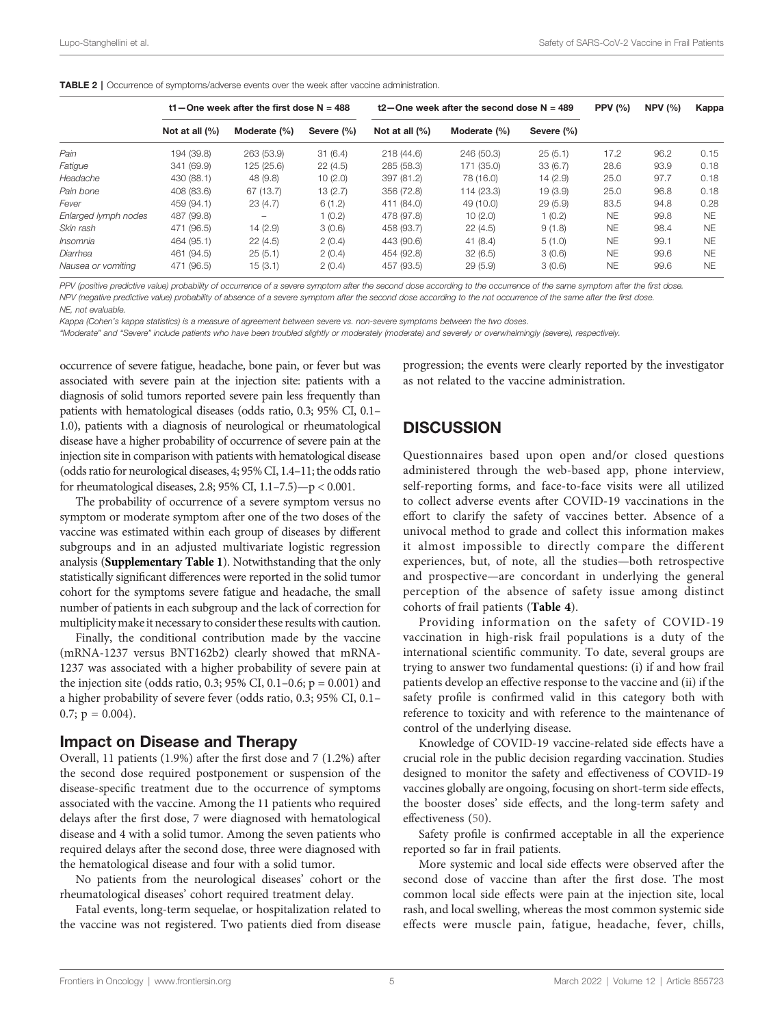<span id="page-4-0"></span>

|                      |                | t1 – One week after the first dose $N = 488$ |            | $t2$ –One week after the second dose N = 489 | <b>PPV (%)</b> | NPV $(%)$  | Kappa     |      |           |
|----------------------|----------------|----------------------------------------------|------------|----------------------------------------------|----------------|------------|-----------|------|-----------|
|                      | Not at all (%) | Moderate (%)                                 | Severe (%) | Not at all $(%)$                             | Moderate (%)   | Severe (%) |           |      |           |
| Pain                 | 194 (39.8)     | 263 (53.9)                                   | 31(6.4)    | 218 (44.6)                                   | 246 (50.3)     | 25(5.1)    | 17.2      | 96.2 | 0.15      |
| Fatigue              | 341 (69.9)     | 125 (25.6)                                   | 22(4.5)    | 285 (58.3)                                   | 171 (35.0)     | 33(6.7)    | 28.6      | 93.9 | 0.18      |
| Headache             | 430 (88.1)     | 48 (9.8)                                     | 10(2.0)    | 397 (81.2)                                   | 78 (16.0)      | 14(2.9)    | 25.0      | 97.7 | 0.18      |
| Pain bone            | 408 (83.6)     | 67 (13.7)                                    | 13(2.7)    | 356 (72.8)                                   | 114 (23.3)     | 19(3.9)    | 25.0      | 96.8 | 0.18      |
| Fever                | 459 (94.1)     | 23(4.7)                                      | 6(1.2)     | 411 (84.0)                                   | 49 (10.0)      | 29(5.9)    | 83.5      | 94.8 | 0.28      |
| Enlarged lymph nodes | 487 (99.8)     | -                                            | 1(0.2)     | 478 (97.8)                                   | 10(2.0)        | 1(0.2)     | <b>NE</b> | 99.8 | <b>NF</b> |
| Skin rash            | 471 (96.5)     | 14(2.9)                                      | 3(0.6)     | 458 (93.7)                                   | 22(4.5)        | 9(1.8)     | <b>NE</b> | 98.4 | <b>NF</b> |
| Insomnia             | 464 (95.1)     | 22(4.5)                                      | 2(0.4)     | 443 (90.6)                                   | 41(8.4)        | 5(1.0)     | <b>NE</b> | 99.1 | <b>NF</b> |
| Diarrhea             | 461 (94.5)     | 25(5.1)                                      | 2(0.4)     | 454 (92.8)                                   | 32(6.5)        | 3(0.6)     | <b>NE</b> | 99.6 | <b>NF</b> |
| Nausea or vomiting   | 471 (96.5)     | 15(3.1)                                      | 2(0.4)     | 457 (93.5)                                   | 29(5.9)        | 3(0.6)     | <b>NE</b> | 99.6 | <b>NF</b> |

PPV (positive predictive value) probability of occurrence of a severe symptom after the second dose according to the occurrence of the same symptom after the first dose. NPV (negative predictive value) probability of absence of a severe symptom after the second dose according to the not occurrence of the same after the first dose. NE, not evaluable.

Kappa (Cohen's kappa statistics) is a measure of agreement between severe vs. non-severe symptoms between the two doses.

"Moderate" and "Severe" include patients who have been troubled slightly or moderately (moderate) and severely or overwhelmingly (severe), respectively.

occurrence of severe fatigue, headache, bone pain, or fever but was associated with severe pain at the injection site: patients with a diagnosis of solid tumors reported severe pain less frequently than patients with hematological diseases (odds ratio, 0.3; 95% CI, 0.1– 1.0), patients with a diagnosis of neurological or rheumatological disease have a higher probability of occurrence of severe pain at the injection site in comparison with patients with hematological disease (odds ratio for neurological diseases, 4; 95% CI, 1.4–11; the odds ratio for rheumatological diseases, 2.8; 95% CI, 1.1–7.5)—p < 0.001.

The probability of occurrence of a severe symptom versus no symptom or moderate symptom after one of the two doses of the vaccine was estimated within each group of diseases by different subgroups and in an adjusted multivariate logistic regression analysis ([Supplementary Table 1](#page-10-0)). Notwithstanding that the only statistically significant differences were reported in the solid tumor cohort for the symptoms severe fatigue and headache, the small number of patients in each subgroup and the lack of correction for multiplicitymake it necessary to consider these results with caution.

Finally, the conditional contribution made by the vaccine (mRNA-1237 versus BNT162b2) clearly showed that mRNA-1237 was associated with a higher probability of severe pain at the injection site (odds ratio, 0.3; 95% CI, 0.1–0.6;  $p = 0.001$ ) and a higher probability of severe fever (odds ratio, 0.3; 95% CI, 0.1–  $0.7; p = 0.004$ .

#### Impact on Disease and Therapy

Overall, 11 patients (1.9%) after the first dose and 7 (1.2%) after the second dose required postponement or suspension of the disease-specific treatment due to the occurrence of symptoms associated with the vaccine. Among the 11 patients who required delays after the first dose, 7 were diagnosed with hematological disease and 4 with a solid tumor. Among the seven patients who required delays after the second dose, three were diagnosed with the hematological disease and four with a solid tumor.

No patients from the neurological diseases' cohort or the rheumatological diseases' cohort required treatment delay.

Fatal events, long-term sequelae, or hospitalization related to the vaccine was not registered. Two patients died from disease

progression; the events were clearly reported by the investigator as not related to the vaccine administration.

#### **DISCUSSION**

Questionnaires based upon open and/or closed questions administered through the web-based app, phone interview, self-reporting forms, and face-to-face visits were all utilized to collect adverse events after COVID-19 vaccinations in the effort to clarify the safety of vaccines better. Absence of a univocal method to grade and collect this information makes it almost impossible to directly compare the different experiences, but, of note, all the studies—both retrospective and prospective—are concordant in underlying the general perception of the absence of safety issue among distinct cohorts of frail patients ([Table 4](#page-6-0)).

Providing information on the safety of COVID-19 vaccination in high-risk frail populations is a duty of the international scientific community. To date, several groups are trying to answer two fundamental questions: (i) if and how frail patients develop an effective response to the vaccine and (ii) if the safety profile is confirmed valid in this category both with reference to toxicity and with reference to the maintenance of control of the underlying disease.

Knowledge of COVID-19 vaccine-related side effects have a crucial role in the public decision regarding vaccination. Studies designed to monitor the safety and effectiveness of COVID-19 vaccines globally are ongoing, focusing on short-term side effects, the booster doses' side effects, and the long-term safety and effectiveness ([50\)](#page-11-0).

Safety profile is confirmed acceptable in all the experience reported so far in frail patients.

More systemic and local side effects were observed after the second dose of vaccine than after the first dose. The most common local side effects were pain at the injection site, local rash, and local swelling, whereas the most common systemic side effects were muscle pain, fatigue, headache, fever, chills,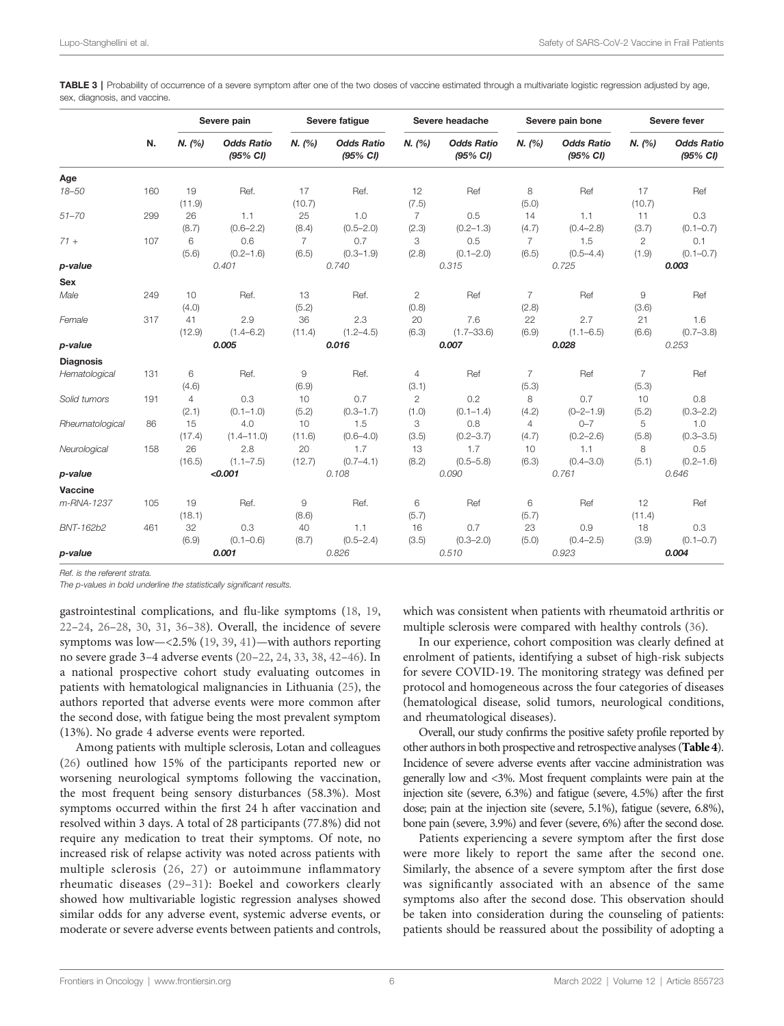<span id="page-5-0"></span>TABLE 3 | Probability of occurrence of a severe symptom after one of the two doses of vaccine estimated through a multivariate logistic regression adjusted by age, sex, diagnosis, and vaccine.

|                  |     |                         | Severe pain                   |                         | Severe fatigue                |                         | Severe headache               |                         | Severe pain bone              |                         | Severe fever                  |  |
|------------------|-----|-------------------------|-------------------------------|-------------------------|-------------------------------|-------------------------|-------------------------------|-------------------------|-------------------------------|-------------------------|-------------------------------|--|
|                  | N.  | N. (%)                  | <b>Odds Ratio</b><br>(95% CI) | N. (%)                  | <b>Odds Ratio</b><br>(95% CI) | N. (%)                  | <b>Odds Ratio</b><br>(95% CI) | N. (%)                  | <b>Odds Ratio</b><br>(95% CI) | N. (%)                  | <b>Odds Ratio</b><br>(95% CI) |  |
| Age              |     |                         |                               |                         |                               |                         |                               |                         |                               |                         |                               |  |
| $18 - 50$        | 160 | 19<br>(11.9)            | Ref.                          | 17<br>(10.7)            | Ref.                          | 12<br>(7.5)             | Ref                           | 8<br>(5.0)              | Ref                           | 17<br>(10.7)            | Ref                           |  |
| $51 - 70$        | 299 | 26<br>(8.7)             | 1.1<br>$(0.6 - 2.2)$          | 25<br>(8.4)             | 1.0<br>$(0.5 - 2.0)$          | $\overline{7}$<br>(2.3) | 0.5<br>$(0.2 - 1.3)$          | 14<br>(4.7)             | 1.1<br>$(0.4 - 2.8)$          | 11<br>(3.7)             | 0.3<br>$(0.1 - 0.7)$          |  |
| $71 +$           | 107 | 6<br>(5.6)              | 0.6<br>$(0.2 - 1.6)$          | $\overline{7}$<br>(6.5) | 0.7<br>$(0.3 - 1.9)$          | 3<br>(2.8)              | 0.5<br>$(0.1 - 2.0)$          | $\overline{7}$<br>(6.5) | 1.5<br>$(0.5 - 4.4)$          | $\mathbf{2}$<br>(1.9)   | 0.1<br>$(0.1 - 0.7)$          |  |
| p-value          |     |                         | 0.401                         |                         | 0.740                         |                         | 0.315                         | 0.725                   |                               | 0.003                   |                               |  |
| Sex              |     |                         |                               |                         |                               |                         |                               |                         |                               |                         |                               |  |
| Male             | 249 | 10<br>(4.0)             | Ref.                          | 13<br>(5.2)             | Ref.                          | $\mathbf{2}$<br>(0.8)   | Ref                           | $\overline{7}$<br>(2.8) | Ref                           | 9<br>(3.6)              | Ref                           |  |
| Female           | 317 | 41<br>(12.9)            | 2.9<br>$(1.4 - 6.2)$          | 36<br>(11.4)            | 2.3<br>$(1.2 - 4.5)$          | 20<br>(6.3)             | 7.6<br>$(1.7 - 33.6)$         | 22<br>(6.9)             | 2.7<br>$(1.1 - 6.5)$          | 21<br>(6.6)             | 1.6<br>$(0.7 - 3.8)$          |  |
| p-value          |     |                         | 0.005                         |                         | 0.016                         |                         | 0.007                         |                         | 0.028                         |                         | 0.253                         |  |
| <b>Diagnosis</b> |     |                         |                               |                         |                               |                         |                               |                         |                               |                         |                               |  |
| Hematological    | 131 | 6<br>(4.6)              | Ref.                          | 9<br>(6.9)              | Ref.                          | $\overline{4}$<br>(3.1) | Ref                           | $\overline{7}$<br>(5.3) | Ref                           | $\overline{7}$<br>(5.3) | Ref                           |  |
| Solid tumors     | 191 | $\overline{4}$<br>(2.1) | 0.3<br>$(0.1 - 1.0)$          | 10<br>(5.2)             | 0.7<br>$(0.3 - 1.7)$          | $\overline{2}$<br>(1.0) | 0.2<br>$(0.1 - 1.4)$          | 8<br>(4.2)              | 0.7<br>$(0 - 2 - 1.9)$        | 10<br>(5.2)             | 0.8<br>$(0.3 - 2.2)$          |  |
| Rheumatological  | 86  | 15<br>(17.4)            | 4.0<br>$(1.4 - 11.0)$         | 10<br>(11.6)            | 1.5<br>$(0.6 - 4.0)$          | 3<br>(3.5)              | 0.8<br>$(0.2 - 3.7)$          | 4<br>(4.7)              | $0 - 7$<br>$(0.2 - 2.6)$      | 5<br>(5.8)              | 1.0<br>$(0.3 - 3.5)$          |  |
| Neurological     | 158 | 26<br>(16.5)            | 2.8<br>$(1.1 - 7.5)$          | 20<br>(12.7)            | 1.7<br>$(0.7 - 4.1)$          | 13<br>(8.2)             | 1.7<br>$(0.5 - 5.8)$          | 10<br>(6.3)             | 1.1<br>$(0.4 - 3.0)$          | 8<br>(5.1)              | 0.5<br>$(0.2 - 1.6)$          |  |
| p-value          |     |                         | < 0.001                       |                         | 0.108                         |                         | 0.090                         |                         | 0.761                         |                         | 0.646                         |  |
| Vaccine          |     |                         |                               |                         |                               |                         |                               |                         |                               |                         |                               |  |
| m-RNA-1237       | 105 | 19<br>(18.1)            | Ref.                          | 9<br>(8.6)              | Ref.                          | 6<br>(5.7)              | Ref                           | 6<br>(5.7)              | Ref                           | 12<br>(11.4)            | Ref                           |  |
| BNT-162b2        | 461 | 32                      | 0.3                           | 40                      | 1.1                           | 16                      | 0.7                           | 23                      | 0.9                           | 18                      | 0.3                           |  |
| p-value          |     | (6.9)                   | $(0.1 - 0.6)$<br>0.001        | (8.7)                   | $(0.5 - 2.4)$<br>0.826        | (3.5)                   | $(0.3 - 2.0)$<br>0.510        | (5.0)                   | $(0.4 - 2.5)$<br>0.923        | (3.9)                   | $(0.1 - 0.7)$<br>0.004        |  |

Ref. is the referent strata.

The p-values in bold underline the statistically significant results.

gastrointestinal complications, and flu-like symptoms ([18,](#page-10-0) [19](#page-10-0), [22](#page-10-0)–[24](#page-10-0), [26](#page-11-0)–[28](#page-11-0), [30](#page-11-0), [31](#page-11-0), [36](#page-11-0)–[38](#page-11-0)). Overall, the incidence of severe symptoms was low—<2.5% ([19](#page-10-0), [39,](#page-11-0) [41](#page-11-0))—with authors reporting no severe grade 3–4 adverse events [\(20](#page-10-0)–[22](#page-10-0), [24,](#page-10-0) [33](#page-11-0), [38,](#page-11-0) [42](#page-11-0)–[46](#page-11-0)). In a national prospective cohort study evaluating outcomes in patients with hematological malignancies in Lithuania ([25\)](#page-11-0), the authors reported that adverse events were more common after the second dose, with fatigue being the most prevalent symptom (13%). No grade 4 adverse events were reported.

Among patients with multiple sclerosis, Lotan and colleagues ([26\)](#page-11-0) outlined how 15% of the participants reported new or worsening neurological symptoms following the vaccination, the most frequent being sensory disturbances (58.3%). Most symptoms occurred within the first 24 h after vaccination and resolved within 3 days. A total of 28 participants (77.8%) did not require any medication to treat their symptoms. Of note, no increased risk of relapse activity was noted across patients with multiple sclerosis ([26](#page-11-0), [27\)](#page-11-0) or autoimmune inflammatory rheumatic diseases ([29](#page-11-0)–[31](#page-11-0)): Boekel and coworkers clearly showed how multivariable logistic regression analyses showed similar odds for any adverse event, systemic adverse events, or moderate or severe adverse events between patients and controls,

which was consistent when patients with rheumatoid arthritis or multiple sclerosis were compared with healthy controls ([36\)](#page-11-0).

In our experience, cohort composition was clearly defined at enrolment of patients, identifying a subset of high-risk subjects for severe COVID-19. The monitoring strategy was defined per protocol and homogeneous across the four categories of diseases (hematological disease, solid tumors, neurological conditions, and rheumatological diseases).

Overall, our study confirms the positive safety profile reported by other authors in both prospective and retrospective analyses ([Table 4](#page-6-0)). Incidence of severe adverse events after vaccine administration was generally low and <3%. Most frequent complaints were pain at the injection site (severe, 6.3%) and fatigue (severe, 4.5%) after the first dose; pain at the injection site (severe, 5.1%), fatigue (severe, 6.8%), bone pain (severe, 3.9%) and fever (severe, 6%) after the second dose.

Patients experiencing a severe symptom after the first dose were more likely to report the same after the second one. Similarly, the absence of a severe symptom after the first dose was significantly associated with an absence of the same symptoms also after the second dose. This observation should be taken into consideration during the counseling of patients: patients should be reassured about the possibility of adopting a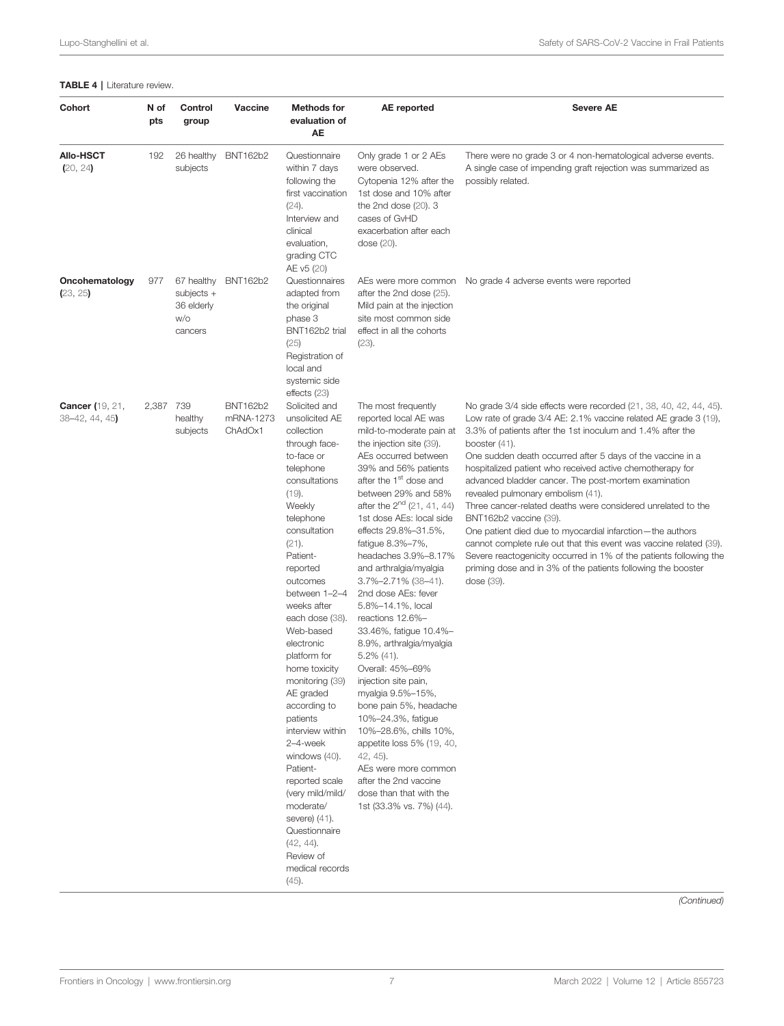#### <span id="page-6-0"></span>TABLE 4 | Literature review.

| <b>Cohort</b>                             | N of<br>pts | Control<br>group                                           | Vaccine                                 | <b>Methods for</b><br>evaluation of<br>AE                                                                                                                                                                                                                                                                                                                                                                                                                                                                                                                                                           | AE reported                                                                                                                                                                                                                                                                                                                                                                                                                                                                                                                                                                                                                                                                                                                                                                                                                              | <b>Severe AE</b>                                                                                                                                                                                                                                                                                                                                                                                                                                                                                                                                                                                                                                                                                                                                                                                                                   |
|-------------------------------------------|-------------|------------------------------------------------------------|-----------------------------------------|-----------------------------------------------------------------------------------------------------------------------------------------------------------------------------------------------------------------------------------------------------------------------------------------------------------------------------------------------------------------------------------------------------------------------------------------------------------------------------------------------------------------------------------------------------------------------------------------------------|------------------------------------------------------------------------------------------------------------------------------------------------------------------------------------------------------------------------------------------------------------------------------------------------------------------------------------------------------------------------------------------------------------------------------------------------------------------------------------------------------------------------------------------------------------------------------------------------------------------------------------------------------------------------------------------------------------------------------------------------------------------------------------------------------------------------------------------|------------------------------------------------------------------------------------------------------------------------------------------------------------------------------------------------------------------------------------------------------------------------------------------------------------------------------------------------------------------------------------------------------------------------------------------------------------------------------------------------------------------------------------------------------------------------------------------------------------------------------------------------------------------------------------------------------------------------------------------------------------------------------------------------------------------------------------|
| <b>Allo-HSCT</b><br>(20, 24)              | 192         | 26 healthy<br>subjects                                     | <b>BNT162b2</b>                         | Questionnaire<br>within 7 days<br>following the<br>first vaccination<br>$(24)$ .<br>Interview and<br>clinical<br>evaluation,<br>grading CTC<br>AE v5 (20)                                                                                                                                                                                                                                                                                                                                                                                                                                           | Only grade 1 or 2 AEs<br>were observed.<br>Cytopenia 12% after the<br>1st dose and 10% after<br>the 2nd dose $(20)$ . 3<br>cases of GvHD<br>exacerbation after each<br>dose $(20)$ .                                                                                                                                                                                                                                                                                                                                                                                                                                                                                                                                                                                                                                                     | There were no grade 3 or 4 non-hematological adverse events.<br>A single case of impending graft rejection was summarized as<br>possibly related.                                                                                                                                                                                                                                                                                                                                                                                                                                                                                                                                                                                                                                                                                  |
| Oncohematology<br>(23, 25)                | 977         | 67 healthy<br>$subjects +$<br>36 elderly<br>w/o<br>cancers | <b>BNT162b2</b>                         | Questionnaires<br>adapted from<br>the original<br>phase 3<br>BNT162b2 trial<br>(25)<br>Registration of<br>local and<br>systemic side<br>effects $(23)$                                                                                                                                                                                                                                                                                                                                                                                                                                              | after the 2nd dose (25).<br>Mild pain at the injection<br>site most common side<br>effect in all the cohorts<br>$(23)$ .                                                                                                                                                                                                                                                                                                                                                                                                                                                                                                                                                                                                                                                                                                                 | AEs were more common    No grade 4 adverse events were reported                                                                                                                                                                                                                                                                                                                                                                                                                                                                                                                                                                                                                                                                                                                                                                    |
| <b>Cancer</b> (19, 21,<br>$38-42, 44, 45$ | 2,387 739   | healthy<br>subjects                                        | <b>BNT162b2</b><br>mRNA-1273<br>ChAdOx1 | Solicited and<br>unsolicited AE<br>collection<br>through face-<br>to-face or<br>telephone<br>consultations<br>(19).<br>Weekly<br>telephone<br>consultation<br>$(21)$ .<br>Patient-<br>reported<br>outcomes<br>between 1-2-4<br>weeks after<br>each dose (38).<br>Web-based<br>electronic<br>platform for<br>home toxicity<br>monitoring (39)<br>AE graded<br>according to<br>patients<br>interview within<br>2-4-week<br>windows (40).<br>Patient-<br>reported scale<br>(very mild/mild/<br>moderate/<br>severe) (41).<br>Questionnaire<br>$(42, 44)$ .<br>Review of<br>medical records<br>$(45)$ . | The most frequently<br>reported local AE was<br>mild-to-moderate pain at<br>the injection site (39).<br>AEs occurred between<br>39% and 56% patients<br>after the 1 <sup>st</sup> dose and<br>between 29% and 58%<br>after the $2^{nd}$ (21, 41, 44)<br>1st dose AEs: local side<br>effects 29.8%-31.5%,<br>fatigue 8.3%-7%,<br>headaches 3.9%-8.17%<br>and arthralgia/myalgia<br>3.7%-2.71% (38-41).<br>2nd dose AEs: fever<br>5.8%-14.1%, local<br>reactions 12.6%-<br>33.46%, fatigue 10.4%-<br>8.9%, arthralgia/myalgia<br>$5.2\%$ (41).<br>Overall: 45%-69%<br>injection site pain,<br>myalgia 9.5%-15%,<br>bone pain 5%, headache<br>10%-24.3%, fatique<br>10%-28.6%, chills 10%,<br>appetite loss 5% (19, 40,<br>42, 45).<br>AEs were more common<br>after the 2nd vaccine<br>dose than that with the<br>1st (33.3% vs. 7%) (44). | No grade 3/4 side effects were recorded (21, 38, 40, 42, 44, 45).<br>Low rate of grade 3/4 AE: 2.1% vaccine related AE grade 3 (19),<br>3.3% of patients after the 1st inoculum and 1.4% after the<br>booster $(41)$ .<br>One sudden death occurred after 5 days of the vaccine in a<br>hospitalized patient who received active chemotherapy for<br>advanced bladder cancer. The post-mortem examination<br>revealed pulmonary embolism (41).<br>Three cancer-related deaths were considered unrelated to the<br>BNT162b2 vaccine (39).<br>One patient died due to myocardial infarction—the authors<br>cannot complete rule out that this event was vaccine related (39).<br>Severe reactogenicity occurred in 1% of the patients following the<br>priming dose and in 3% of the patients following the booster<br>dose $(39)$ . |

(Continued)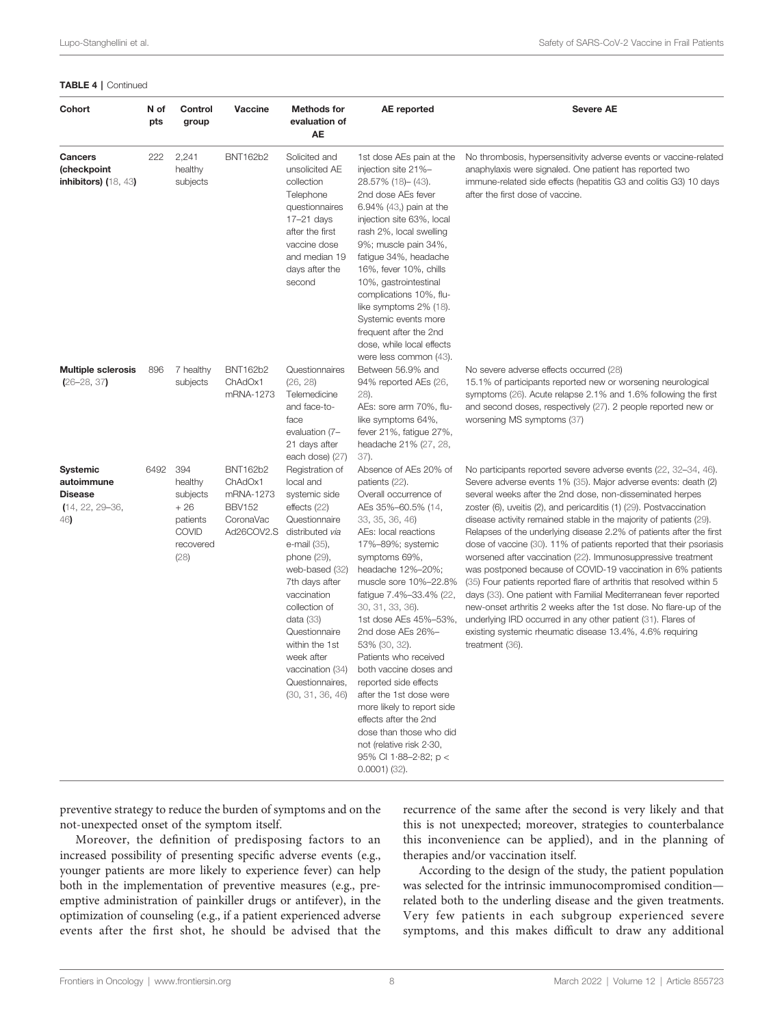#### TABLE 4 | Continued

| <b>Cohort</b>                                                                 | N of<br>pts | Control<br>group                                                                     | Vaccine                                                                             | <b>Methods for</b><br>evaluation of<br>AE                                                                                                                                                                                                                                                                                     | <b>AE</b> reported                                                                                                                                                                                                                                                                                                                                                                                                                                                                                                                                                                                   | <b>Severe AE</b>                                                                                                                                                                                                                                                                                                                                                                                                                                                                                                                                                                                                                                                                                                                                                                                                                                                                                                                                                                              |
|-------------------------------------------------------------------------------|-------------|--------------------------------------------------------------------------------------|-------------------------------------------------------------------------------------|-------------------------------------------------------------------------------------------------------------------------------------------------------------------------------------------------------------------------------------------------------------------------------------------------------------------------------|------------------------------------------------------------------------------------------------------------------------------------------------------------------------------------------------------------------------------------------------------------------------------------------------------------------------------------------------------------------------------------------------------------------------------------------------------------------------------------------------------------------------------------------------------------------------------------------------------|-----------------------------------------------------------------------------------------------------------------------------------------------------------------------------------------------------------------------------------------------------------------------------------------------------------------------------------------------------------------------------------------------------------------------------------------------------------------------------------------------------------------------------------------------------------------------------------------------------------------------------------------------------------------------------------------------------------------------------------------------------------------------------------------------------------------------------------------------------------------------------------------------------------------------------------------------------------------------------------------------|
| <b>Cancers</b><br>(checkpoint<br>inhibitors) $(18, 43)$                       | 222         | 2,241<br>healthy<br>subjects                                                         | BNT162b2                                                                            | Solicited and<br>unsolicited AE<br>collection<br>Telephone<br>questionnaires<br>$17-21$ days<br>after the first<br>vaccine dose<br>and median 19<br>days after the<br>second                                                                                                                                                  | 1st dose AEs pain at the<br>injection site 21%-<br>28.57% (18) - (43).<br>2nd dose AEs fever<br>6.94% $(43)$ pain at the<br>injection site 63%, local<br>rash 2%, local swelling<br>9%; muscle pain 34%,<br>fatique 34%, headache<br>16%, fever 10%, chills<br>10%, gastrointestinal<br>complications 10%, flu-<br>like symptoms 2% (18).<br>Systemic events more<br>frequent after the 2nd<br>dose, while local effects<br>were less common (43).                                                                                                                                                   | No thrombosis, hypersensitivity adverse events or vaccine-related<br>anaphylaxis were signaled. One patient has reported two<br>immune-related side effects (hepatitis G3 and colitis G3) 10 days<br>after the first dose of vaccine.                                                                                                                                                                                                                                                                                                                                                                                                                                                                                                                                                                                                                                                                                                                                                         |
| <b>Multiple sclerosis</b><br>$(26 - 28, 37)$                                  | 896         | 7 healthy<br>subjects                                                                | <b>BNT162b2</b><br>ChAdOx1<br>mRNA-1273                                             | Questionnaires<br>(26, 28)<br>Telemedicine<br>and face-to-<br>face<br>evaluation (7-<br>21 days after<br>each dose) (27)                                                                                                                                                                                                      | Between 56.9% and<br>94% reported AEs (26,<br>28).<br>AEs: sore arm 70%, flu-<br>like symptoms 64%,<br>fever 21%, fatigue 27%,<br>headache 21% (27, 28,<br>37).                                                                                                                                                                                                                                                                                                                                                                                                                                      | No severe adverse effects occurred (28)<br>15.1% of participants reported new or worsening neurological<br>symptoms (26). Acute relapse 2.1% and 1.6% following the first<br>and second doses, respectively (27). 2 people reported new or<br>worsening MS symptoms (37)                                                                                                                                                                                                                                                                                                                                                                                                                                                                                                                                                                                                                                                                                                                      |
| <b>Systemic</b><br>autoimmune<br><b>Disease</b><br>$(14, 22, 29 - 36,$<br>46) | 6492        | 394<br>healthy<br>subjects<br>$+26$<br>patients<br><b>COVID</b><br>recovered<br>(28) | <b>BNT162b2</b><br>ChAdOx1<br>mRNA-1273<br><b>BBV152</b><br>CoronaVac<br>Ad26COV2.S | Registration of<br>local and<br>systemic side<br>effects (22)<br>Questionnaire<br>distributed via<br>e-mail (35),<br>phone (29),<br>web-based (32)<br>7th days after<br>vaccination<br>collection of<br>data (33)<br>Questionnaire<br>within the 1st<br>week after<br>vaccination (34)<br>Questionnaires,<br>(30, 31, 36, 46) | Absence of AEs 20% of<br>patients (22).<br>Overall occurrence of<br>AEs 35%-60.5% (14,<br>33, 35, 36, 46)<br>AEs: local reactions<br>17%-89%; systemic<br>symptoms 69%,<br>headache 12%-20%;<br>muscle sore 10%-22.8%<br>fatigue 7.4%-33.4% (22,<br>30, 31, 33, 36).<br>1st dose AEs 45%-53%,<br>2nd dose AEs 26%-<br>53% (30, 32).<br>Patients who received<br>both vaccine doses and<br>reported side effects<br>after the 1st dose were<br>more likely to report side<br>effects after the 2nd<br>dose than those who did<br>not (relative risk 2.30,<br>95% CI 1.88-2.82; p <<br>$0.0001)$ (32). | No participants reported severe adverse events (22, 32-34, 46).<br>Severe adverse events 1% (35). Major adverse events: death (2)<br>several weeks after the 2nd dose, non-disseminated herpes<br>zoster (6), uveitis (2), and pericarditis (1) (29). Postvaccination<br>disease activity remained stable in the majority of patients (29).<br>Relapses of the underlying disease 2.2% of patients after the first<br>dose of vaccine (30). 11% of patients reported that their psoriasis<br>worsened after vaccination (22). Immunosuppressive treatment<br>was postponed because of COVID-19 vaccination in 6% patients<br>(35) Four patients reported flare of arthritis that resolved within 5<br>days (33). One patient with Familial Mediterranean fever reported<br>new-onset arthritis 2 weeks after the 1st dose. No flare-up of the<br>underlying IRD occurred in any other patient (31). Flares of<br>existing systemic rheumatic disease 13.4%, 4.6% requiring<br>treatment (36). |

preventive strategy to reduce the burden of symptoms and on the not-unexpected onset of the symptom itself.

Moreover, the definition of predisposing factors to an increased possibility of presenting specific adverse events (e.g., younger patients are more likely to experience fever) can help both in the implementation of preventive measures (e.g., preemptive administration of painkiller drugs or antifever), in the optimization of counseling (e.g., if a patient experienced adverse events after the first shot, he should be advised that the

recurrence of the same after the second is very likely and that this is not unexpected; moreover, strategies to counterbalance this inconvenience can be applied), and in the planning of therapies and/or vaccination itself.

According to the design of the study, the patient population was selected for the intrinsic immunocompromised condition related both to the underling disease and the given treatments. Very few patients in each subgroup experienced severe symptoms, and this makes difficult to draw any additional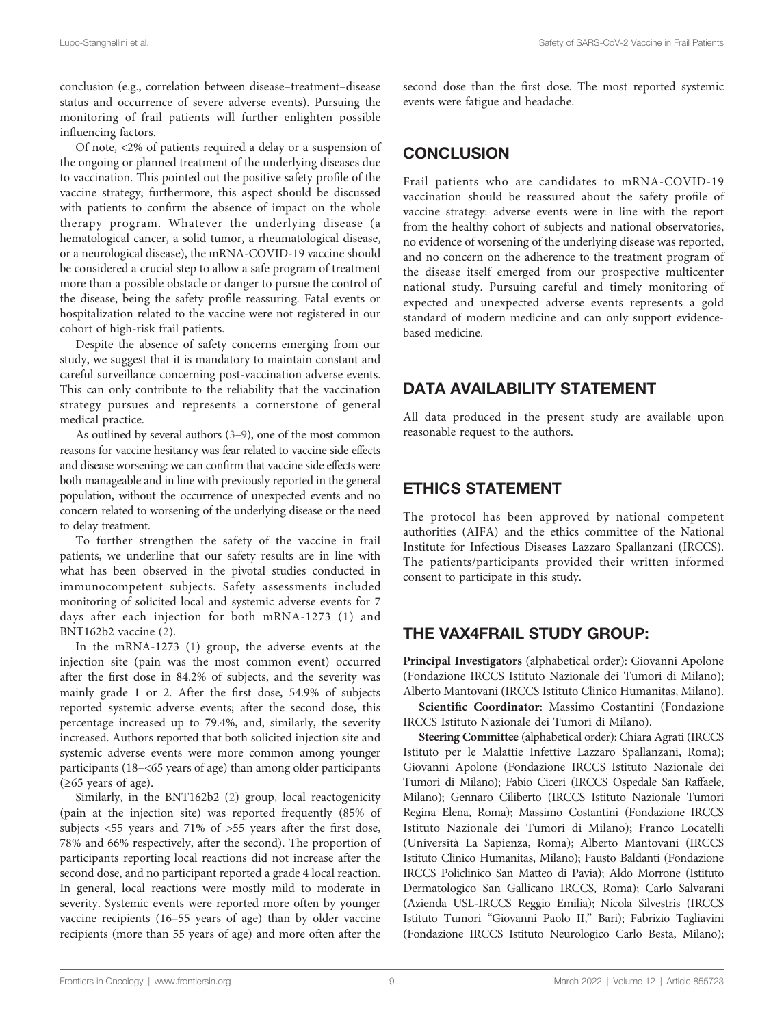conclusion (e.g., correlation between disease–treatment–disease status and occurrence of severe adverse events). Pursuing the monitoring of frail patients will further enlighten possible influencing factors.

Of note, <2% of patients required a delay or a suspension of the ongoing or planned treatment of the underlying diseases due to vaccination. This pointed out the positive safety profile of the vaccine strategy; furthermore, this aspect should be discussed with patients to confirm the absence of impact on the whole therapy program. Whatever the underlying disease (a hematological cancer, a solid tumor, a rheumatological disease, or a neurological disease), the mRNA-COVID-19 vaccine should be considered a crucial step to allow a safe program of treatment more than a possible obstacle or danger to pursue the control of the disease, being the safety profile reassuring. Fatal events or hospitalization related to the vaccine were not registered in our cohort of high-risk frail patients.

Despite the absence of safety concerns emerging from our study, we suggest that it is mandatory to maintain constant and careful surveillance concerning post-vaccination adverse events. This can only contribute to the reliability that the vaccination strategy pursues and represents a cornerstone of general medical practice.

As outlined by several authors [\(3](#page-10-0)–[9\)](#page-10-0), one of the most common reasons for vaccine hesitancy was fear related to vaccine side effects and disease worsening: we can confirm that vaccine side effects were both manageable and in line with previously reported in the general population, without the occurrence of unexpected events and no concern related to worsening of the underlying disease or the need to delay treatment.

To further strengthen the safety of the vaccine in frail patients, we underline that our safety results are in line with what has been observed in the pivotal studies conducted in immunocompetent subjects. Safety assessments included monitoring of solicited local and systemic adverse events for 7 days after each injection for both mRNA-1273 [\(1](#page-10-0)) and BNT162b2 vaccine ([2](#page-10-0)).

In the mRNA-1273 [\(1\)](#page-10-0) group, the adverse events at the injection site (pain was the most common event) occurred after the first dose in 84.2% of subjects, and the severity was mainly grade 1 or 2. After the first dose, 54.9% of subjects reported systemic adverse events; after the second dose, this percentage increased up to 79.4%, and, similarly, the severity increased. Authors reported that both solicited injection site and systemic adverse events were more common among younger participants (18–<65 years of age) than among older participants (≥65 years of age).

Similarly, in the BNT162b2 ([2\)](#page-10-0) group, local reactogenicity (pain at the injection site) was reported frequently (85% of subjects <55 years and 71% of >55 years after the first dose, 78% and 66% respectively, after the second). The proportion of participants reporting local reactions did not increase after the second dose, and no participant reported a grade 4 local reaction. In general, local reactions were mostly mild to moderate in severity. Systemic events were reported more often by younger vaccine recipients (16–55 years of age) than by older vaccine recipients (more than 55 years of age) and more often after the

second dose than the first dose. The most reported systemic events were fatigue and headache.

# **CONCLUSION**

Frail patients who are candidates to mRNA-COVID-19 vaccination should be reassured about the safety profile of vaccine strategy: adverse events were in line with the report from the healthy cohort of subjects and national observatories, no evidence of worsening of the underlying disease was reported, and no concern on the adherence to the treatment program of the disease itself emerged from our prospective multicenter national study. Pursuing careful and timely monitoring of expected and unexpected adverse events represents a gold standard of modern medicine and can only support evidencebased medicine.

# DATA AVAILABILITY STATEMENT

All data produced in the present study are available upon reasonable request to the authors.

# ETHICS STATEMENT

The protocol has been approved by national competent authorities (AIFA) and the ethics committee of the National Institute for Infectious Diseases Lazzaro Spallanzani (IRCCS). The patients/participants provided their written informed consent to participate in this study.

# THE VAX4FRAIL STUDY GROUP:

Principal Investigators (alphabetical order): Giovanni Apolone (Fondazione IRCCS Istituto Nazionale dei Tumori di Milano); Alberto Mantovani (IRCCS Istituto Clinico Humanitas, Milano).

Scientific Coordinator: Massimo Costantini (Fondazione IRCCS Istituto Nazionale dei Tumori di Milano).

Steering Committee (alphabetical order): Chiara Agrati (IRCCS Istituto per le Malattie Infettive Lazzaro Spallanzani, Roma); Giovanni Apolone (Fondazione IRCCS Istituto Nazionale dei Tumori di Milano); Fabio Ciceri (IRCCS Ospedale San Raffaele, Milano); Gennaro Ciliberto (IRCCS Istituto Nazionale Tumori Regina Elena, Roma); Massimo Costantini (Fondazione IRCCS Istituto Nazionale dei Tumori di Milano); Franco Locatelli (Università La Sapienza, Roma); Alberto Mantovani (IRCCS Istituto Clinico Humanitas, Milano); Fausto Baldanti (Fondazione IRCCS Policlinico San Matteo di Pavia); Aldo Morrone (Istituto Dermatologico San Gallicano IRCCS, Roma); Carlo Salvarani (Azienda USL-IRCCS Reggio Emilia); Nicola Silvestris (IRCCS Istituto Tumori "Giovanni Paolo II," Bari); Fabrizio Tagliavini (Fondazione IRCCS Istituto Neurologico Carlo Besta, Milano);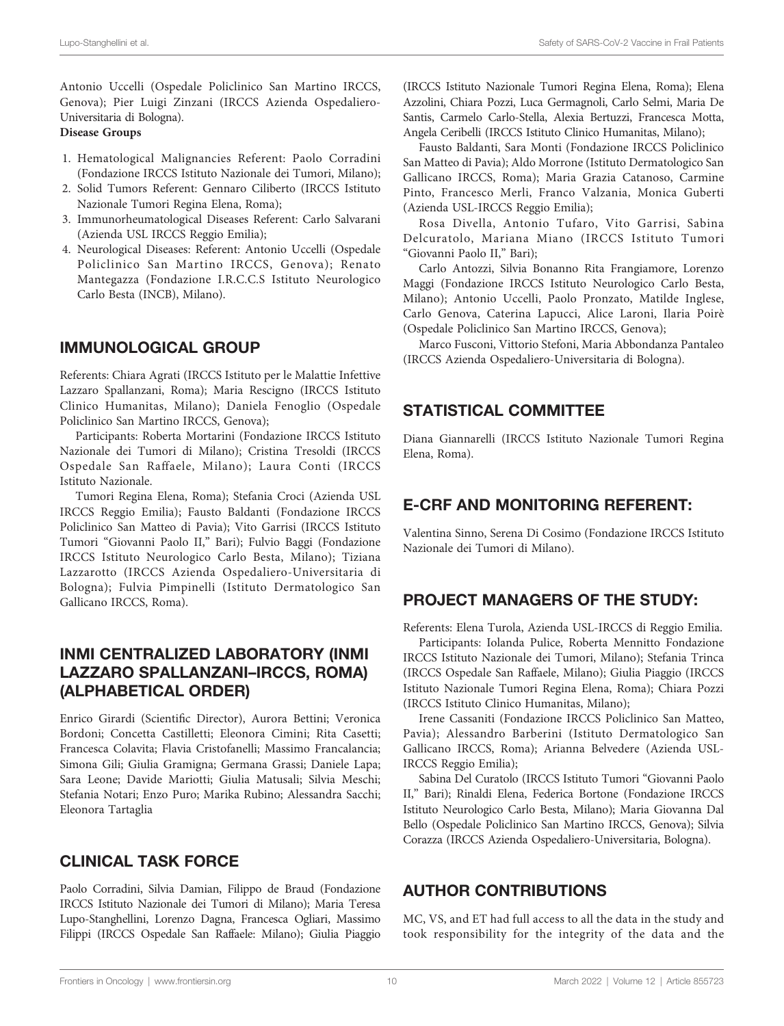Antonio Uccelli (Ospedale Policlinico San Martino IRCCS, Genova); Pier Luigi Zinzani (IRCCS Azienda Ospedaliero-Universitaria di Bologna).

#### Disease Groups

- 1. Hematological Malignancies Referent: Paolo Corradini (Fondazione IRCCS Istituto Nazionale dei Tumori, Milano);
- 2. Solid Tumors Referent: Gennaro Ciliberto (IRCCS Istituto Nazionale Tumori Regina Elena, Roma);
- 3. Immunorheumatological Diseases Referent: Carlo Salvarani (Azienda USL IRCCS Reggio Emilia);
- 4. Neurological Diseases: Referent: Antonio Uccelli (Ospedale Policlinico San Martino IRCCS, Genova); Renato Mantegazza (Fondazione I.R.C.C.S Istituto Neurologico Carlo Besta (INCB), Milano).

# IMMUNOLOGICAL GROUP

Referents: Chiara Agrati (IRCCS Istituto per le Malattie Infettive Lazzaro Spallanzani, Roma); Maria Rescigno (IRCCS Istituto Clinico Humanitas, Milano); Daniela Fenoglio (Ospedale Policlinico San Martino IRCCS, Genova);

Participants: Roberta Mortarini (Fondazione IRCCS Istituto Nazionale dei Tumori di Milano); Cristina Tresoldi (IRCCS Ospedale San Raffaele, Milano); Laura Conti (IRCCS Istituto Nazionale.

Tumori Regina Elena, Roma); Stefania Croci (Azienda USL IRCCS Reggio Emilia); Fausto Baldanti (Fondazione IRCCS Policlinico San Matteo di Pavia); Vito Garrisi (IRCCS Istituto Tumori "Giovanni Paolo II," Bari); Fulvio Baggi (Fondazione IRCCS Istituto Neurologico Carlo Besta, Milano); Tiziana Lazzarotto (IRCCS Azienda Ospedaliero-Universitaria di Bologna); Fulvia Pimpinelli (Istituto Dermatologico San Gallicano IRCCS, Roma).

# INMI CENTRALIZED LABORATORY (INMI LAZZARO SPALLANZANI–IRCCS, ROMA) (ALPHABETICAL ORDER)

Enrico Girardi (Scientific Director), Aurora Bettini; Veronica Bordoni; Concetta Castilletti; Eleonora Cimini; Rita Casetti; Francesca Colavita; Flavia Cristofanelli; Massimo Francalancia; Simona Gili; Giulia Gramigna; Germana Grassi; Daniele Lapa; Sara Leone; Davide Mariotti; Giulia Matusali; Silvia Meschi; Stefania Notari; Enzo Puro; Marika Rubino; Alessandra Sacchi; Eleonora Tartaglia

### CLINICAL TASK FORCE

Paolo Corradini, Silvia Damian, Filippo de Braud (Fondazione IRCCS Istituto Nazionale dei Tumori di Milano); Maria Teresa Lupo-Stanghellini, Lorenzo Dagna, Francesca Ogliari, Massimo Filippi (IRCCS Ospedale San Raffaele: Milano); Giulia Piaggio

(IRCCS Istituto Nazionale Tumori Regina Elena, Roma); Elena Azzolini, Chiara Pozzi, Luca Germagnoli, Carlo Selmi, Maria De Santis, Carmelo Carlo-Stella, Alexia Bertuzzi, Francesca Motta, Angela Ceribelli (IRCCS Istituto Clinico Humanitas, Milano);

Fausto Baldanti, Sara Monti (Fondazione IRCCS Policlinico San Matteo di Pavia); Aldo Morrone (Istituto Dermatologico San Gallicano IRCCS, Roma); Maria Grazia Catanoso, Carmine Pinto, Francesco Merli, Franco Valzania, Monica Guberti (Azienda USL-IRCCS Reggio Emilia);

Rosa Divella, Antonio Tufaro, Vito Garrisi, Sabina Delcuratolo, Mariana Miano (IRCCS Istituto Tumori "Giovanni Paolo II," Bari);

Carlo Antozzi, Silvia Bonanno Rita Frangiamore, Lorenzo Maggi (Fondazione IRCCS Istituto Neurologico Carlo Besta, Milano); Antonio Uccelli, Paolo Pronzato, Matilde Inglese, Carlo Genova, Caterina Lapucci, Alice Laroni, Ilaria Poirè (Ospedale Policlinico San Martino IRCCS, Genova);

Marco Fusconi, Vittorio Stefoni, Maria Abbondanza Pantaleo (IRCCS Azienda Ospedaliero-Universitaria di Bologna).

### STATISTICAL COMMITTEE

Diana Giannarelli (IRCCS Istituto Nazionale Tumori Regina Elena, Roma).

### E-CRF AND MONITORING REFERENT:

Valentina Sinno, Serena Di Cosimo (Fondazione IRCCS Istituto Nazionale dei Tumori di Milano).

# PROJECT MANAGERS OF THE STUDY:

Referents: Elena Turola, Azienda USL-IRCCS di Reggio Emilia.

Participants: Iolanda Pulice, Roberta Mennitto Fondazione IRCCS Istituto Nazionale dei Tumori, Milano); Stefania Trinca (IRCCS Ospedale San Raffaele, Milano); Giulia Piaggio (IRCCS Istituto Nazionale Tumori Regina Elena, Roma); Chiara Pozzi (IRCCS Istituto Clinico Humanitas, Milano);

Irene Cassaniti (Fondazione IRCCS Policlinico San Matteo, Pavia); Alessandro Barberini (Istituto Dermatologico San Gallicano IRCCS, Roma); Arianna Belvedere (Azienda USL-IRCCS Reggio Emilia);

Sabina Del Curatolo (IRCCS Istituto Tumori "Giovanni Paolo II," Bari); Rinaldi Elena, Federica Bortone (Fondazione IRCCS Istituto Neurologico Carlo Besta, Milano); Maria Giovanna Dal Bello (Ospedale Policlinico San Martino IRCCS, Genova); Silvia Corazza (IRCCS Azienda Ospedaliero-Universitaria, Bologna).

### AUTHOR CONTRIBUTIONS

MC, VS, and ET had full access to all the data in the study and took responsibility for the integrity of the data and the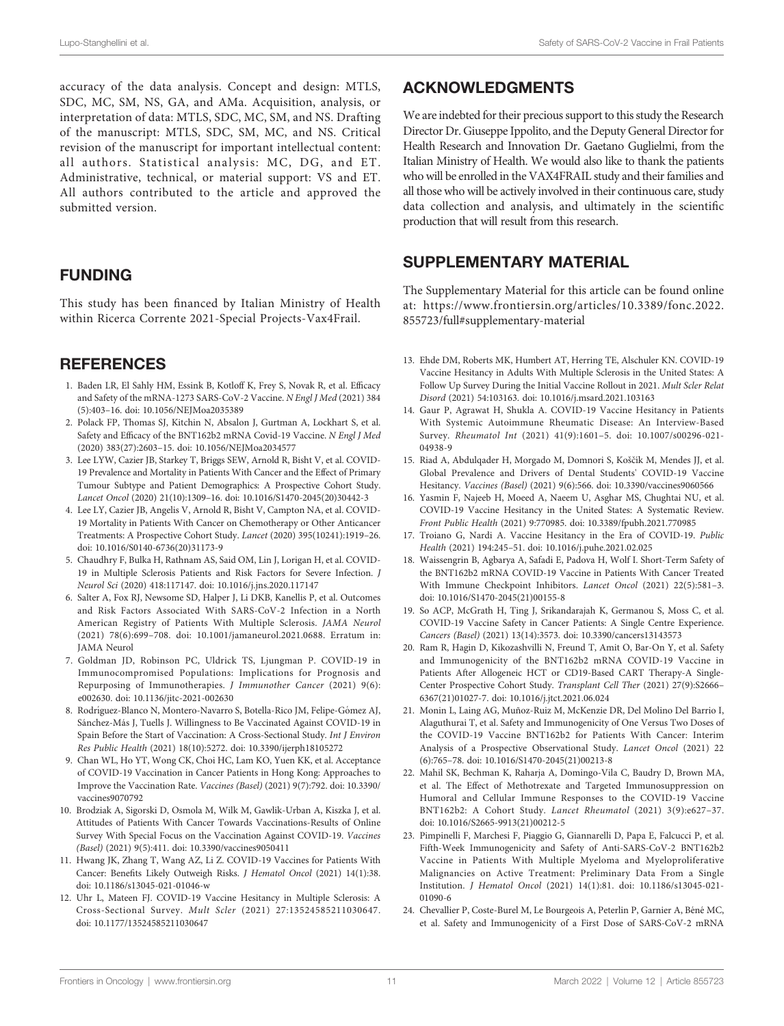<span id="page-10-0"></span>accuracy of the data analysis. Concept and design: MTLS, SDC, MC, SM, NS, GA, and AMa. Acquisition, analysis, or interpretation of data: MTLS, SDC, MC, SM, and NS. Drafting of the manuscript: MTLS, SDC, SM, MC, and NS. Critical revision of the manuscript for important intellectual content: all authors. Statistical analysis: MC, DG, and ET. Administrative, technical, or material support: VS and ET. All authors contributed to the article and approved the submitted version.

#### FUNDING

This study has been financed by Italian Ministry of Health within Ricerca Corrente 2021-Special Projects-Vax4Frail.

### **REFERENCES**

- 1. Baden LR, El Sahly HM, Essink B, Kotloff K, Frey S, Novak R, et al. Efficacy and Safety of the mRNA-1273 SARS-CoV-2 Vaccine. N Engl J Med (2021) 384 (5):403–16. doi: [10.1056/NEJMoa2035389](https://doi.org/10.1056/NEJMoa2035389)
- 2. Polack FP, Thomas SJ, Kitchin N, Absalon J, Gurtman A, Lockhart S, et al. Safety and Efficacy of the BNT162b2 mRNA Covid-19 Vaccine. N Engl J Med (2020) 383(27):2603–15. doi: [10.1056/NEJMoa2034577](https://doi.org/10.1056/NEJMoa2034577)
- 3. Lee LYW, Cazier JB, Starkey T, Briggs SEW, Arnold R, Bisht V, et al. COVID-19 Prevalence and Mortality in Patients With Cancer and the Effect of Primary Tumour Subtype and Patient Demographics: A Prospective Cohort Study. Lancet Oncol (2020) 21(10):1309–16. doi: [10.1016/S1470-2045\(20\)30442-3](https://doi.org/10.1016/S1470-2045(20)30442-3)
- 4. Lee LY, Cazier JB, Angelis V, Arnold R, Bisht V, Campton NA, et al. COVID-19 Mortality in Patients With Cancer on Chemotherapy or Other Anticancer Treatments: A Prospective Cohort Study. Lancet (2020) 395(10241):1919–26. doi: [10.1016/S0140-6736\(20\)31173-9](https://doi.org/10.1016/S0140-6736(20)31173-9)
- 5. Chaudhry F, Bulka H, Rathnam AS, Said OM, Lin J, Lorigan H, et al. COVID-19 in Multiple Sclerosis Patients and Risk Factors for Severe Infection. J Neurol Sci (2020) 418:117147. doi: [10.1016/j.jns.2020.117147](https://doi.org/10.1016/j.jns.2020.117147)
- 6. Salter A, Fox RJ, Newsome SD, Halper J, Li DKB, Kanellis P, et al. Outcomes and Risk Factors Associated With SARS-CoV-2 Infection in a North American Registry of Patients With Multiple Sclerosis. JAMA Neurol (2021) 78(6):699–708. doi: [10.1001/jamaneurol.2021.0688. Erratum in:](https://doi.org/10.1001/jamaneurol.2021.0688. Erratum in: JAMA Neurol) [JAMA Neurol](https://doi.org/10.1001/jamaneurol.2021.0688. Erratum in: JAMA Neurol)
- 7. Goldman JD, Robinson PC, Uldrick TS, Ljungman P. COVID-19 in Immunocompromised Populations: Implications for Prognosis and Repurposing of Immunotherapies. J Immunother Cancer (2021) 9(6): e002630. doi: [10.1136/jitc-2021-002630](https://doi.org/10.1136/jitc-2021-002630)
- 8. Rodríguez-Blanco N, Montero-Navarro S, Botella-Rico JM, Felipe-Gómez AJ, Sánchez-Más J, Tuells J. Willingness to Be Vaccinated Against COVID-19 in Spain Before the Start of Vaccination: A Cross-Sectional Study. Int J Environ Res Public Health (2021) 18(10):5272. doi: [10.3390/ijerph18105272](https://doi.org/10.3390/ijerph18105272)
- 9. Chan WL, Ho YT, Wong CK, Choi HC, Lam KO, Yuen KK, et al. Acceptance of COVID-19 Vaccination in Cancer Patients in Hong Kong: Approaches to Improve the Vaccination Rate. Vaccines (Basel) (2021) 9(7):792. doi: [10.3390/](https://doi.org/10.3390/vaccines9070792) [vaccines9070792](https://doi.org/10.3390/vaccines9070792)
- 10. Brodziak A, Sigorski D, Osmola M, Wilk M, Gawlik-Urban A, Kiszka J, et al. Attitudes of Patients With Cancer Towards Vaccinations-Results of Online Survey With Special Focus on the Vaccination Against COVID-19. Vaccines (Basel) (2021) 9(5):411. doi: [10.3390/vaccines9050411](https://doi.org/10.3390/vaccines9050411)
- 11. Hwang JK, Zhang T, Wang AZ, Li Z. COVID-19 Vaccines for Patients With Cancer: Benefits Likely Outweigh Risks. J Hematol Oncol (2021) 14(1):38. doi: [10.1186/s13045-021-01046-w](https://doi.org/10.1186/s13045-021-01046-w)
- 12. Uhr L, Mateen FJ. COVID-19 Vaccine Hesitancy in Multiple Sclerosis: A Cross-Sectional Survey. Mult Scler (2021) 27:13524585211030647. doi: [10.1177/13524585211030647](https://doi.org/10.1177/13524585211030647)

### ACKNOWLEDGMENTS

We are indebted for their precious support to this study the Research Director Dr. Giuseppe Ippolito, and the Deputy General Director for Health Research and Innovation Dr. Gaetano Guglielmi, from the Italian Ministry of Health. We would also like to thank the patients who will be enrolled in the VAX4FRAIL study and their families and all those who will be actively involved in their continuous care, study data collection and analysis, and ultimately in the scientific production that will result from this research.

#### SUPPLEMENTARY MATERIAL

The Supplementary Material for this article can be found online at: [https://www.frontiersin.org/articles/10.3389/fonc.2022.](https://www.frontiersin.org/articles/10.3389/fonc.2022.855723/full#supplementary-material) [855723/full#supplementary-material](https://www.frontiersin.org/articles/10.3389/fonc.2022.855723/full#supplementary-material)

- 13. Ehde DM, Roberts MK, Humbert AT, Herring TE, Alschuler KN. COVID-19 Vaccine Hesitancy in Adults With Multiple Sclerosis in the United States: A Follow Up Survey During the Initial Vaccine Rollout in 2021. Mult Scler Relat Disord (2021) 54:103163. doi: [10.1016/j.msard.2021.103163](https://doi.org/10.1016/j.msard.2021.103163)
- 14. Gaur P, Agrawat H, Shukla A. COVID-19 Vaccine Hesitancy in Patients With Systemic Autoimmune Rheumatic Disease: An Interview-Based Survey. Rheumatol Int (2021) 41(9):1601–5. doi: [10.1007/s00296-021-](https://doi.org/10.1007/s00296-021-04938-9) [04938-9](https://doi.org/10.1007/s00296-021-04938-9)
- 15. Riad A, Abdulqader H, Morgado M, Domnori S, Koščík M, Mendes JJ, et al. Global Prevalence and Drivers of Dental Students' COVID-19 Vaccine Hesitancy. Vaccines (Basel) (2021) 9(6):566. doi: [10.3390/vaccines9060566](https://doi.org/10.3390/vaccines9060566)
- 16. Yasmin F, Najeeb H, Moeed A, Naeem U, Asghar MS, Chughtai NU, et al. COVID-19 Vaccine Hesitancy in the United States: A Systematic Review. Front Public Health (2021) 9:770985. doi: [10.3389/fpubh.2021.770985](https://doi.org/10.3389/fpubh.2021.770985)
- 17. Troiano G, Nardi A. Vaccine Hesitancy in the Era of COVID-19. Public Health (2021) 194:245–51. doi: [10.1016/j.puhe.2021.02.025](https://doi.org/10.1016/j.puhe.2021.02.025)
- 18. Waissengrin B, Agbarya A, Safadi E, Padova H, Wolf I. Short-Term Safety of the BNT162b2 mRNA COVID-19 Vaccine in Patients With Cancer Treated With Immune Checkpoint Inhibitors. Lancet Oncol (2021) 22(5):581–3. doi: [10.1016/S1470-2045\(21\)00155-8](https://doi.org/10.1016/S1470-2045(21)00155-8)
- 19. So ACP, McGrath H, Ting J, Srikandarajah K, Germanou S, Moss C, et al. COVID-19 Vaccine Safety in Cancer Patients: A Single Centre Experience. Cancers (Basel) (2021) 13(14):3573. doi: [10.3390/cancers13143573](https://doi.org/10.3390/cancers13143573)
- 20. Ram R, Hagin D, Kikozashvilli N, Freund T, Amit O, Bar-On Y, et al. Safety and Immunogenicity of the BNT162b2 mRNA COVID-19 Vaccine in Patients After Allogeneic HCT or CD19-Based CART Therapy-A Single-Center Prospective Cohort Study. Transplant Cell Ther (2021) 27(9):S2666– 6367(21)01027-7. doi: [10.1016/j.jtct.2021.06.024](https://doi.org/10.1016/j.jtct.2021.06.024)
- 21. Monin L, Laing AG, Muñoz-Ruiz M, McKenzie DR, Del Molino Del Barrio I, Alaguthurai T, et al. Safety and Immunogenicity of One Versus Two Doses of the COVID-19 Vaccine BNT162b2 for Patients With Cancer: Interim Analysis of a Prospective Observational Study. Lancet Oncol (2021) 22 (6):765–78. doi: [10.1016/S1470-2045\(21\)00213-8](https://doi.org/10.1016/S1470-2045(21)00213-8)
- 22. Mahil SK, Bechman K, Raharja A, Domingo-Vila C, Baudry D, Brown MA, et al. The Effect of Methotrexate and Targeted Immunosuppression on Humoral and Cellular Immune Responses to the COVID-19 Vaccine BNT162b2: A Cohort Study. Lancet Rheumatol (2021) 3(9):e627–37. doi: [10.1016/S2665-9913\(21\)00212-5](https://doi.org/10.1016/S2665-9913(21)00212-5)
- 23. Pimpinelli F, Marchesi F, Piaggio G, Giannarelli D, Papa E, Falcucci P, et al. Fifth-Week Immunogenicity and Safety of Anti-SARS-CoV-2 BNT162b2 Vaccine in Patients With Multiple Myeloma and Myeloproliferative Malignancies on Active Treatment: Preliminary Data From a Single Institution. J Hematol Oncol (2021) 14(1):81. doi: [10.1186/s13045-021-](https://doi.org/10.1186/s13045-021-01090-6) [01090-6](https://doi.org/10.1186/s13045-021-01090-6)
- 24. Chevallier P, Coste-Burel M, Le Bourgeois A, Peterlin P, Garnier A, Béné MC, et al. Safety and Immunogenicity of a First Dose of SARS-CoV-2 mRNA